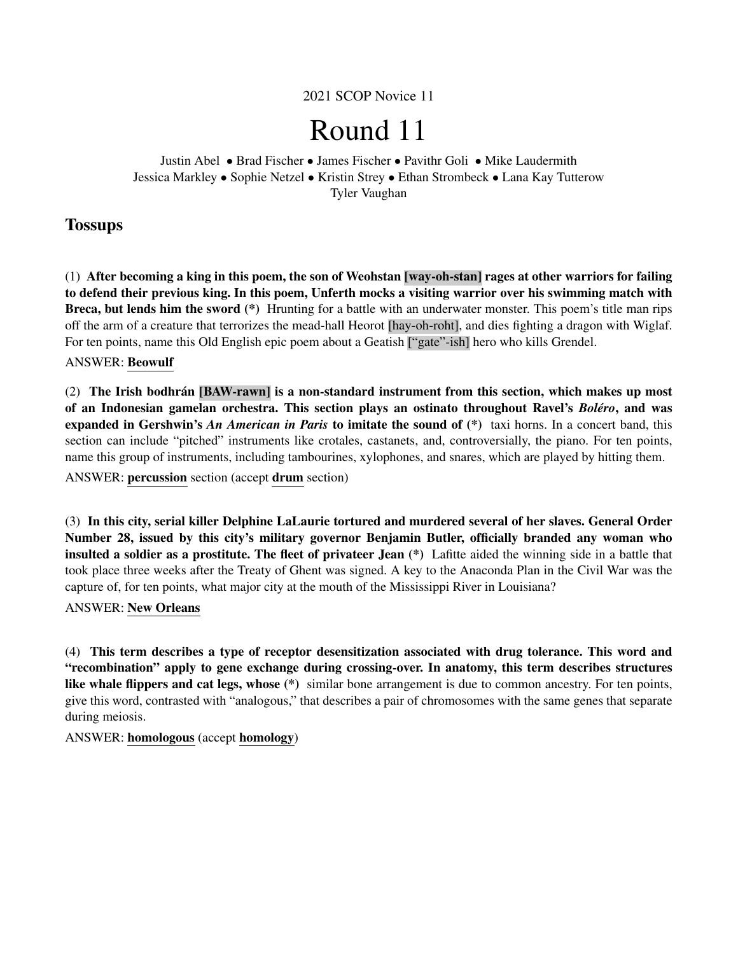2021 SCOP Novice 11

# Round 11

Justin Abel • Brad Fischer • James Fischer • Pavithr Goli • Mike Laudermith Jessica Markley • Sophie Netzel • Kristin Strey • Ethan Strombeck • Lana Kay Tutterow Tyler Vaughan

# **Tossups**

(1) After becoming a king in this poem, the son of Weohstan [way-oh-stan] rages at other warriors for failing to defend their previous king. In this poem, Unferth mocks a visiting warrior over his swimming match with Breca, but lends him the sword (\*) Hrunting for a battle with an underwater monster. This poem's title man rips off the arm of a creature that terrorizes the mead-hall Heorot [hay-oh-roht], and dies fighting a dragon with Wiglaf. For ten points, name this Old English epic poem about a Geatish ["gate"-ish] hero who kills Grendel.

# ANSWER: Beowulf

 $(2)$  The Irish bodhrán [BAW-rawn] is a non-standard instrument from this section, which makes up most of an Indonesian gamelan orchestra. This section plays an ostinato throughout Ravel's *Bolero ´* , and was expanded in Gershwin's *An American in Paris* to imitate the sound of (\*) taxi horns. In a concert band, this section can include "pitched" instruments like crotales, castanets, and, controversially, the piano. For ten points, name this group of instruments, including tambourines, xylophones, and snares, which are played by hitting them.

ANSWER: percussion section (accept drum section)

(3) In this city, serial killer Delphine LaLaurie tortured and murdered several of her slaves. General Order Number 28, issued by this city's military governor Benjamin Butler, officially branded any woman who insulted a soldier as a prostitute. The fleet of privateer Jean (\*) Lafitte aided the winning side in a battle that took place three weeks after the Treaty of Ghent was signed. A key to the Anaconda Plan in the Civil War was the capture of, for ten points, what major city at the mouth of the Mississippi River in Louisiana?

#### ANSWER: New Orleans

(4) This term describes a type of receptor desensitization associated with drug tolerance. This word and "recombination" apply to gene exchange during crossing-over. In anatomy, this term describes structures like whale flippers and cat legs, whose (\*) similar bone arrangement is due to common ancestry. For ten points, give this word, contrasted with "analogous," that describes a pair of chromosomes with the same genes that separate during meiosis.

ANSWER: homologous (accept homology)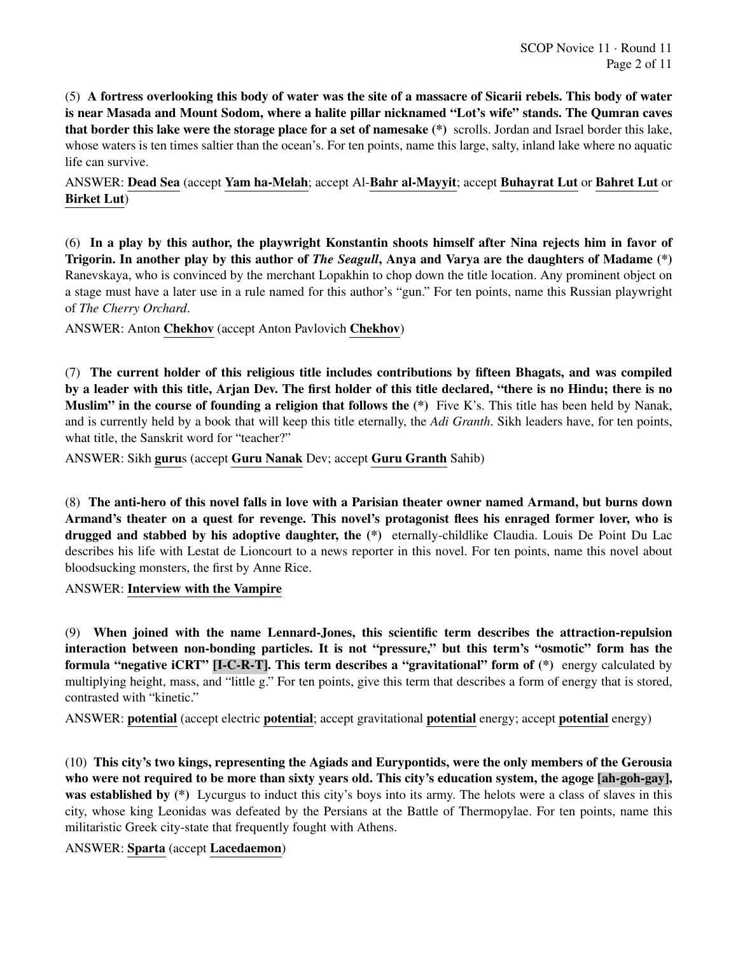(5) A fortress overlooking this body of water was the site of a massacre of Sicarii rebels. This body of water is near Masada and Mount Sodom, where a halite pillar nicknamed "Lot's wife" stands. The Qumran caves that border this lake were the storage place for a set of namesake (\*) scrolls. Jordan and Israel border this lake, whose waters is ten times saltier than the ocean's. For ten points, name this large, salty, inland lake where no aquatic life can survive.

ANSWER: Dead Sea (accept Yam ha-Melah; accept Al-Bahr al-Mayyit; accept Buhayrat Lut or Bahret Lut or Birket Lut)

(6) In a play by this author, the playwright Konstantin shoots himself after Nina rejects him in favor of Trigorin. In another play by this author of *The Seagull*, Anya and Varya are the daughters of Madame (\*) Ranevskaya, who is convinced by the merchant Lopakhin to chop down the title location. Any prominent object on a stage must have a later use in a rule named for this author's "gun." For ten points, name this Russian playwright of *The Cherry Orchard*.

ANSWER: Anton Chekhov (accept Anton Pavlovich Chekhov)

(7) The current holder of this religious title includes contributions by fifteen Bhagats, and was compiled by a leader with this title, Arjan Dev. The first holder of this title declared, "there is no Hindu; there is no **Muslim" in the course of founding a religion that follows the**  $(*)$  Five K's. This title has been held by Nanak, and is currently held by a book that will keep this title eternally, the *Adi Granth*. Sikh leaders have, for ten points, what title, the Sanskrit word for "teacher?"

ANSWER: Sikh gurus (accept Guru Nanak Dev; accept Guru Granth Sahib)

(8) The anti-hero of this novel falls in love with a Parisian theater owner named Armand, but burns down Armand's theater on a quest for revenge. This novel's protagonist flees his enraged former lover, who is drugged and stabbed by his adoptive daughter, the (\*) eternally-childlike Claudia. Louis De Point Du Lac describes his life with Lestat de Lioncourt to a news reporter in this novel. For ten points, name this novel about bloodsucking monsters, the first by Anne Rice.

ANSWER: Interview with the Vampire

(9) When joined with the name Lennard-Jones, this scientific term describes the attraction-repulsion interaction between non-bonding particles. It is not "pressure," but this term's "osmotic" form has the formula "negative iCRT" [I-C-R-T]. This term describes a "gravitational" form of (\*) energy calculated by multiplying height, mass, and "little g." For ten points, give this term that describes a form of energy that is stored, contrasted with "kinetic."

ANSWER: potential (accept electric potential; accept gravitational potential energy; accept potential energy)

(10) This city's two kings, representing the Agiads and Eurypontids, were the only members of the Gerousia who were not required to be more than sixty years old. This city's education system, the agoge [ah-goh-gay], was established by (\*) Lycurgus to induct this city's boys into its army. The helots were a class of slaves in this city, whose king Leonidas was defeated by the Persians at the Battle of Thermopylae. For ten points, name this militaristic Greek city-state that frequently fought with Athens.

ANSWER: Sparta (accept Lacedaemon)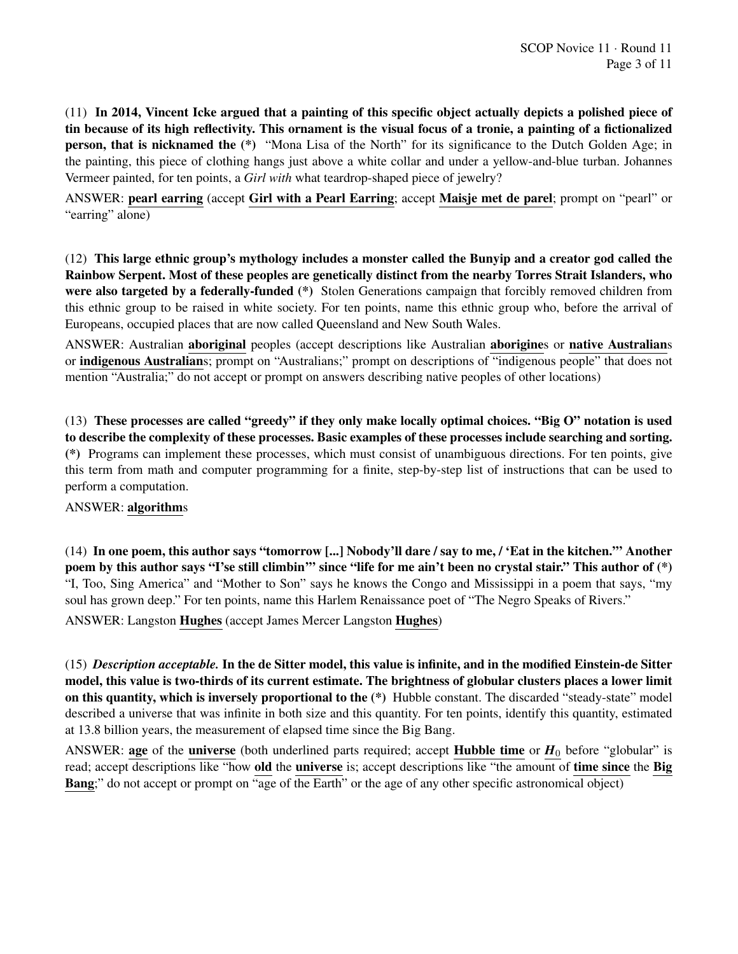(11) In 2014, Vincent Icke argued that a painting of this specific object actually depicts a polished piece of tin because of its high reflectivity. This ornament is the visual focus of a tronie, a painting of a fictionalized person, that is nicknamed the (\*) "Mona Lisa of the North" for its significance to the Dutch Golden Age; in the painting, this piece of clothing hangs just above a white collar and under a yellow-and-blue turban. Johannes Vermeer painted, for ten points, a *Girl with* what teardrop-shaped piece of jewelry?

ANSWER: pearl earring (accept Girl with a Pearl Earring; accept Maisje met de parel; prompt on "pearl" or "earring" alone)

(12) This large ethnic group's mythology includes a monster called the Bunyip and a creator god called the Rainbow Serpent. Most of these peoples are genetically distinct from the nearby Torres Strait Islanders, who were also targeted by a federally-funded (\*) Stolen Generations campaign that forcibly removed children from this ethnic group to be raised in white society. For ten points, name this ethnic group who, before the arrival of Europeans, occupied places that are now called Queensland and New South Wales.

ANSWER: Australian aboriginal peoples (accept descriptions like Australian aborigines or native Australians or indigenous Australians; prompt on "Australians;" prompt on descriptions of "indigenous people" that does not mention "Australia;" do not accept or prompt on answers describing native peoples of other locations)

(13) These processes are called "greedy" if they only make locally optimal choices. "Big O" notation is used to describe the complexity of these processes. Basic examples of these processes include searching and sorting. (\*) Programs can implement these processes, which must consist of unambiguous directions. For ten points, give this term from math and computer programming for a finite, step-by-step list of instructions that can be used to perform a computation.

#### ANSWER: algorithms

(14) In one poem, this author says "tomorrow [...] Nobody'll dare / say to me, / 'Eat in the kitchen.'" Another poem by this author says "I'se still climbin'" since "life for me ain't been no crystal stair." This author of (\*) "I, Too, Sing America" and "Mother to Son" says he knows the Congo and Mississippi in a poem that says, "my soul has grown deep." For ten points, name this Harlem Renaissance poet of "The Negro Speaks of Rivers."

ANSWER: Langston Hughes (accept James Mercer Langston Hughes)

(15) *Description acceptable.* In the de Sitter model, this value is infinite, and in the modified Einstein-de Sitter model, this value is two-thirds of its current estimate. The brightness of globular clusters places a lower limit on this quantity, which is inversely proportional to the (\*) Hubble constant. The discarded "steady-state" model described a universe that was infinite in both size and this quantity. For ten points, identify this quantity, estimated at 13.8 billion years, the measurement of elapsed time since the Big Bang.

ANSWER: age of the universe (both underlined parts required; accept Hubble time or  $H_0$  before "globular" is read; accept descriptions like "how old the universe is; accept descriptions like "the amount of time since the Big Bang;" do not accept or prompt on "age of the Earth" or the age of any other specific astronomical object)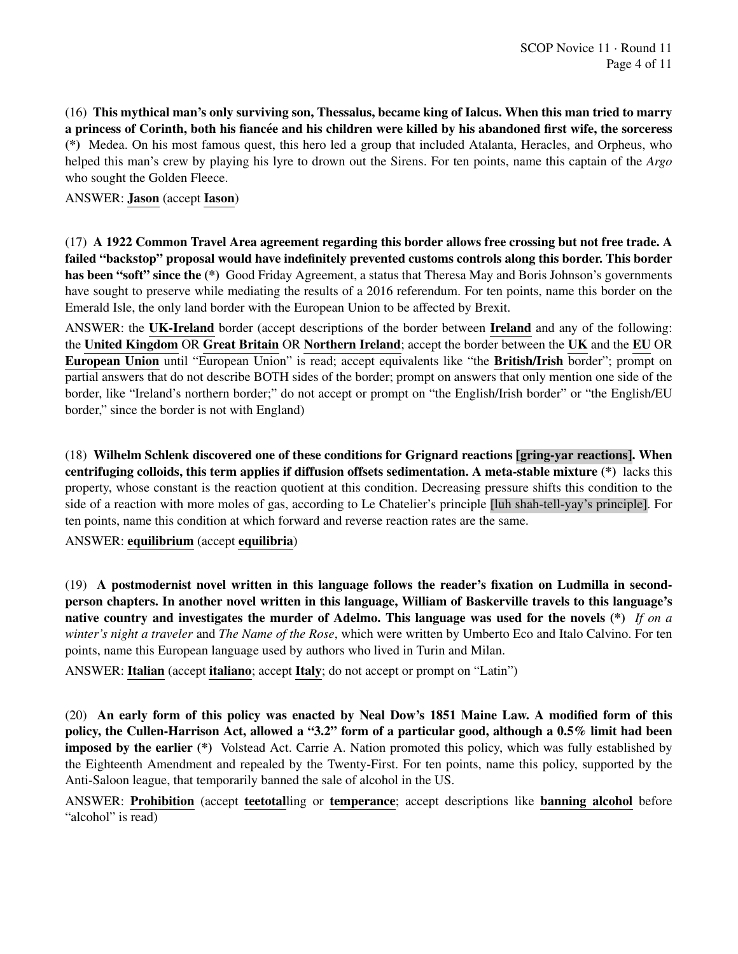(16) This mythical man's only surviving son, Thessalus, became king of Ialcus. When this man tried to marry a princess of Corinth, both his fiancée and his children were killed by his abandoned first wife, the sorceress (\*) Medea. On his most famous quest, this hero led a group that included Atalanta, Heracles, and Orpheus, who helped this man's crew by playing his lyre to drown out the Sirens. For ten points, name this captain of the *Argo* who sought the Golden Fleece.

#### ANSWER: Jason (accept Iason)

(17) A 1922 Common Travel Area agreement regarding this border allows free crossing but not free trade. A failed "backstop" proposal would have indefinitely prevented customs controls along this border. This border has been "soft" since the (\*) Good Friday Agreement, a status that Theresa May and Boris Johnson's governments have sought to preserve while mediating the results of a 2016 referendum. For ten points, name this border on the Emerald Isle, the only land border with the European Union to be affected by Brexit.

ANSWER: the UK-Ireland border (accept descriptions of the border between Ireland and any of the following: the United Kingdom OR Great Britain OR Northern Ireland; accept the border between the UK and the EU OR European Union until "European Union" is read; accept equivalents like "the British/Irish border"; prompt on partial answers that do not describe BOTH sides of the border; prompt on answers that only mention one side of the border, like "Ireland's northern border;" do not accept or prompt on "the English/Irish border" or "the English/EU border," since the border is not with England)

(18) Wilhelm Schlenk discovered one of these conditions for Grignard reactions [gring-yar reactions]. When centrifuging colloids, this term applies if diffusion offsets sedimentation. A meta-stable mixture (\*) lacks this property, whose constant is the reaction quotient at this condition. Decreasing pressure shifts this condition to the side of a reaction with more moles of gas, according to Le Chatelier's principle [luh shah-tell-yay's principle]. For ten points, name this condition at which forward and reverse reaction rates are the same.

#### ANSWER: equilibrium (accept equilibria)

(19) A postmodernist novel written in this language follows the reader's fixation on Ludmilla in secondperson chapters. In another novel written in this language, William of Baskerville travels to this language's native country and investigates the murder of Adelmo. This language was used for the novels (\*) *If on a winter's night a traveler* and *The Name of the Rose*, which were written by Umberto Eco and Italo Calvino. For ten points, name this European language used by authors who lived in Turin and Milan.

ANSWER: Italian (accept italiano; accept Italy; do not accept or prompt on "Latin")

(20) An early form of this policy was enacted by Neal Dow's 1851 Maine Law. A modified form of this policy, the Cullen-Harrison Act, allowed a "3.2" form of a particular good, although a 0.5% limit had been imposed by the earlier (\*) Volstead Act. Carrie A. Nation promoted this policy, which was fully established by the Eighteenth Amendment and repealed by the Twenty-First. For ten points, name this policy, supported by the Anti-Saloon league, that temporarily banned the sale of alcohol in the US.

ANSWER: Prohibition (accept teetotalling or temperance; accept descriptions like banning alcohol before "alcohol" is read)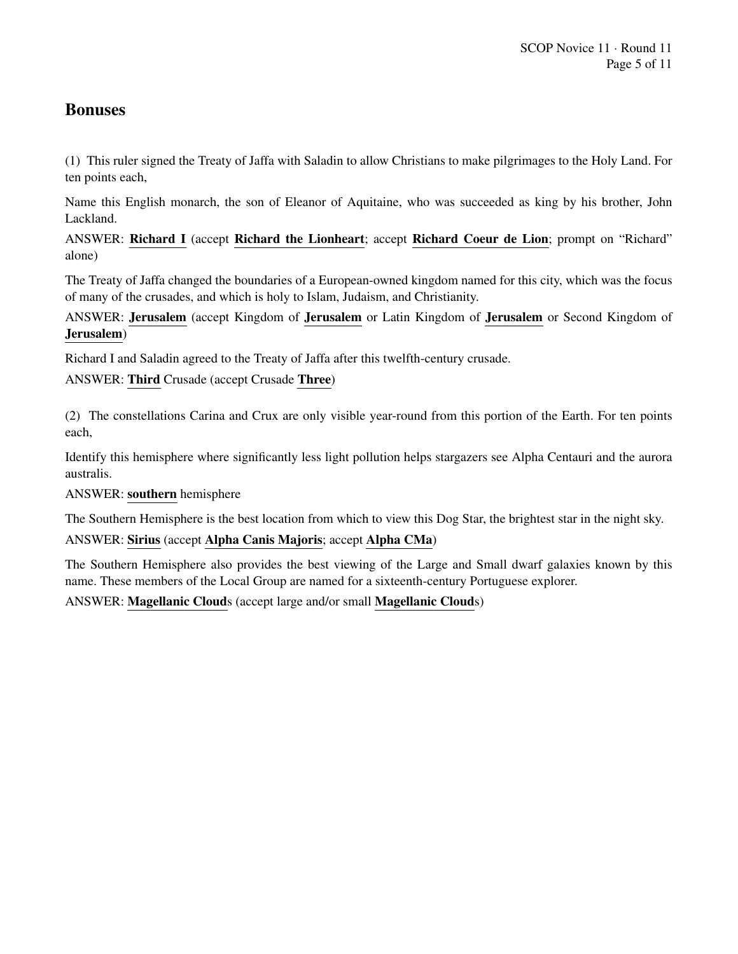# **Bonuses**

(1) This ruler signed the Treaty of Jaffa with Saladin to allow Christians to make pilgrimages to the Holy Land. For ten points each,

Name this English monarch, the son of Eleanor of Aquitaine, who was succeeded as king by his brother, John Lackland.

ANSWER: Richard I (accept Richard the Lionheart; accept Richard Coeur de Lion; prompt on "Richard" alone)

The Treaty of Jaffa changed the boundaries of a European-owned kingdom named for this city, which was the focus of many of the crusades, and which is holy to Islam, Judaism, and Christianity.

ANSWER: Jerusalem (accept Kingdom of Jerusalem or Latin Kingdom of Jerusalem or Second Kingdom of Jerusalem)

Richard I and Saladin agreed to the Treaty of Jaffa after this twelfth-century crusade.

ANSWER: Third Crusade (accept Crusade Three)

(2) The constellations Carina and Crux are only visible year-round from this portion of the Earth. For ten points each,

Identify this hemisphere where significantly less light pollution helps stargazers see Alpha Centauri and the aurora australis.

ANSWER: southern hemisphere

The Southern Hemisphere is the best location from which to view this Dog Star, the brightest star in the night sky.

#### ANSWER: Sirius (accept Alpha Canis Majoris; accept Alpha CMa)

The Southern Hemisphere also provides the best viewing of the Large and Small dwarf galaxies known by this name. These members of the Local Group are named for a sixteenth-century Portuguese explorer.

ANSWER: Magellanic Clouds (accept large and/or small Magellanic Clouds)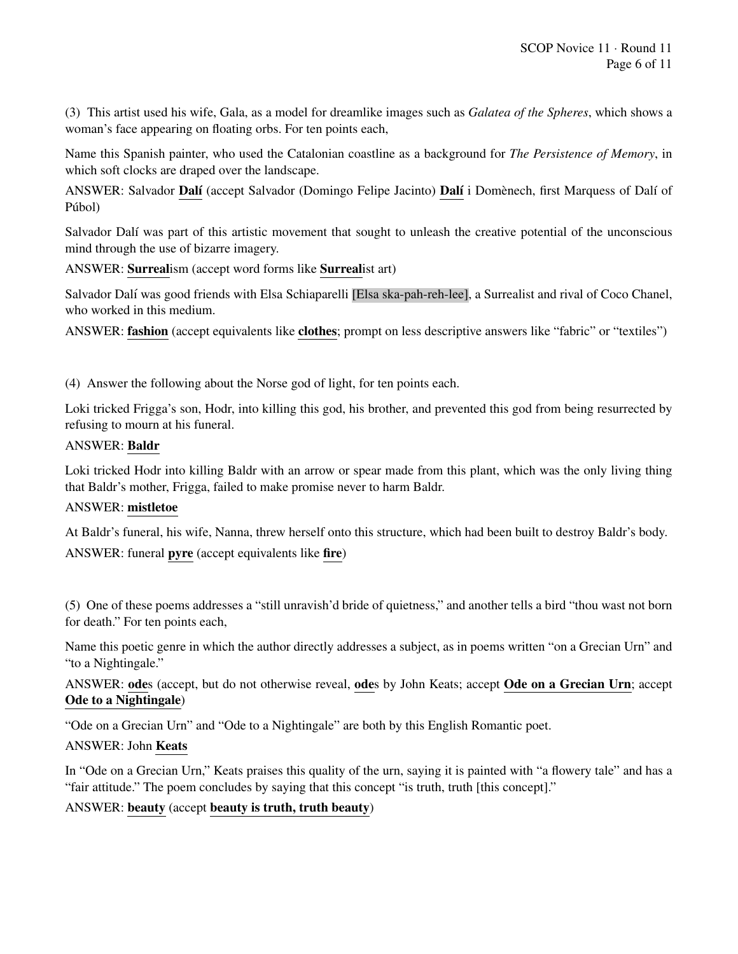(3) This artist used his wife, Gala, as a model for dreamlike images such as *Galatea of the Spheres*, which shows a woman's face appearing on floating orbs. For ten points each,

Name this Spanish painter, who used the Catalonian coastline as a background for *The Persistence of Memory*, in which soft clocks are draped over the landscape.

ANSWER: Salvador Dalí (accept Salvador (Domingo Felipe Jacinto) Dalí i Domènech, first Marquess of Dalí of Púbol)

Salvador Dalí was part of this artistic movement that sought to unleash the creative potential of the unconscious mind through the use of bizarre imagery.

ANSWER: Surrealism (accept word forms like Surrealist art)

Salvador Dalí was good friends with Elsa Schiaparelli [Elsa ska-pah-reh-lee], a Surrealist and rival of Coco Chanel, who worked in this medium.

ANSWER: fashion (accept equivalents like clothes; prompt on less descriptive answers like "fabric" or "textiles")

(4) Answer the following about the Norse god of light, for ten points each.

Loki tricked Frigga's son, Hodr, into killing this god, his brother, and prevented this god from being resurrected by refusing to mourn at his funeral.

#### ANSWER: Baldr

Loki tricked Hodr into killing Baldr with an arrow or spear made from this plant, which was the only living thing that Baldr's mother, Frigga, failed to make promise never to harm Baldr.

#### ANSWER: mistletoe

At Baldr's funeral, his wife, Nanna, threw herself onto this structure, which had been built to destroy Baldr's body. ANSWER: funeral pyre (accept equivalents like fire)

(5) One of these poems addresses a "still unravish'd bride of quietness," and another tells a bird "thou wast not born for death." For ten points each,

Name this poetic genre in which the author directly addresses a subject, as in poems written "on a Grecian Urn" and "to a Nightingale."

ANSWER: odes (accept, but do not otherwise reveal, odes by John Keats; accept Ode on a Grecian Urn; accept Ode to a Nightingale)

"Ode on a Grecian Urn" and "Ode to a Nightingale" are both by this English Romantic poet.

#### ANSWER: John Keats

In "Ode on a Grecian Urn," Keats praises this quality of the urn, saying it is painted with "a flowery tale" and has a "fair attitude." The poem concludes by saying that this concept "is truth, truth [this concept]."

ANSWER: beauty (accept beauty is truth, truth beauty)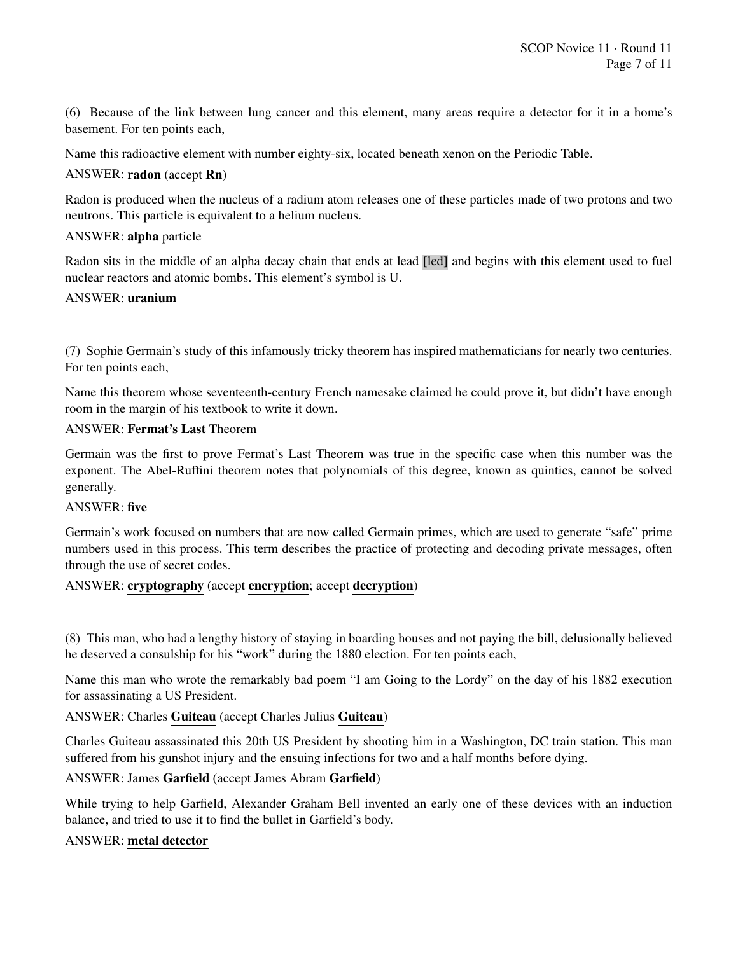(6) Because of the link between lung cancer and this element, many areas require a detector for it in a home's basement. For ten points each,

Name this radioactive element with number eighty-six, located beneath xenon on the Periodic Table.

# ANSWER: radon (accept Rn)

Radon is produced when the nucleus of a radium atom releases one of these particles made of two protons and two neutrons. This particle is equivalent to a helium nucleus.

# ANSWER: alpha particle

Radon sits in the middle of an alpha decay chain that ends at lead [led] and begins with this element used to fuel nuclear reactors and atomic bombs. This element's symbol is U.

#### ANSWER: uranium

(7) Sophie Germain's study of this infamously tricky theorem has inspired mathematicians for nearly two centuries. For ten points each,

Name this theorem whose seventeenth-century French namesake claimed he could prove it, but didn't have enough room in the margin of his textbook to write it down.

#### ANSWER: Fermat's Last Theorem

Germain was the first to prove Fermat's Last Theorem was true in the specific case when this number was the exponent. The Abel-Ruffini theorem notes that polynomials of this degree, known as quintics, cannot be solved generally.

#### ANSWER: five

Germain's work focused on numbers that are now called Germain primes, which are used to generate "safe" prime numbers used in this process. This term describes the practice of protecting and decoding private messages, often through the use of secret codes.

#### ANSWER: cryptography (accept encryption; accept decryption)

(8) This man, who had a lengthy history of staying in boarding houses and not paying the bill, delusionally believed he deserved a consulship for his "work" during the 1880 election. For ten points each,

Name this man who wrote the remarkably bad poem "I am Going to the Lordy" on the day of his 1882 execution for assassinating a US President.

#### ANSWER: Charles Guiteau (accept Charles Julius Guiteau)

Charles Guiteau assassinated this 20th US President by shooting him in a Washington, DC train station. This man suffered from his gunshot injury and the ensuing infections for two and a half months before dying.

#### ANSWER: James Garfield (accept James Abram Garfield)

While trying to help Garfield, Alexander Graham Bell invented an early one of these devices with an induction balance, and tried to use it to find the bullet in Garfield's body.

#### ANSWER: metal detector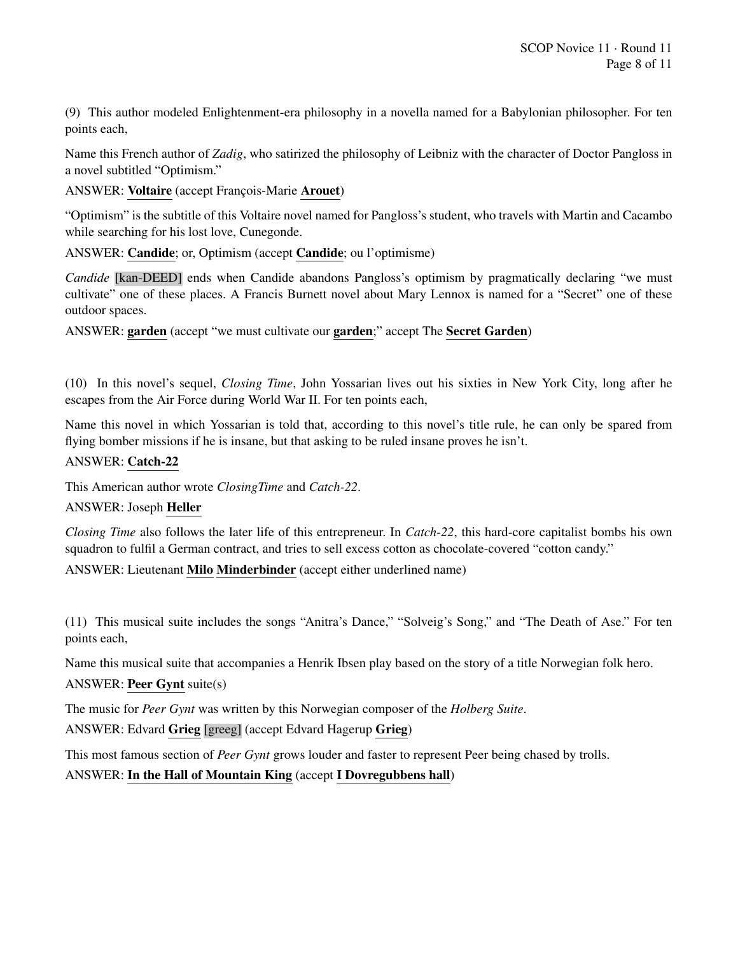(9) This author modeled Enlightenment-era philosophy in a novella named for a Babylonian philosopher. For ten points each,

Name this French author of *Zadig*, who satirized the philosophy of Leibniz with the character of Doctor Pangloss in a novel subtitled "Optimism."

ANSWER: Voltaire (accept François-Marie Arouet)

"Optimism" is the subtitle of this Voltaire novel named for Pangloss's student, who travels with Martin and Cacambo while searching for his lost love, Cunegonde.

ANSWER: Candide; or, Optimism (accept Candide; ou l'optimisme)

*Candide* [kan-DEED] ends when Candide abandons Pangloss's optimism by pragmatically declaring "we must cultivate" one of these places. A Francis Burnett novel about Mary Lennox is named for a "Secret" one of these outdoor spaces.

ANSWER: garden (accept "we must cultivate our garden;" accept The Secret Garden)

(10) In this novel's sequel, *Closing Time*, John Yossarian lives out his sixties in New York City, long after he escapes from the Air Force during World War II. For ten points each,

Name this novel in which Yossarian is told that, according to this novel's title rule, he can only be spared from flying bomber missions if he is insane, but that asking to be ruled insane proves he isn't.

# ANSWER: Catch-22

This American author wrote *ClosingTime* and *Catch-22*.

#### ANSWER: Joseph Heller

*Closing Time* also follows the later life of this entrepreneur. In *Catch-22*, this hard-core capitalist bombs his own squadron to fulfil a German contract, and tries to sell excess cotton as chocolate-covered "cotton candy."

ANSWER: Lieutenant Milo Minderbinder (accept either underlined name)

(11) This musical suite includes the songs "Anitra's Dance," "Solveig's Song," and "The Death of Ase." For ten points each,

Name this musical suite that accompanies a Henrik Ibsen play based on the story of a title Norwegian folk hero.

#### ANSWER: Peer Gynt suite(s)

The music for *Peer Gynt* was written by this Norwegian composer of the *Holberg Suite*.

ANSWER: Edvard Grieg [greeg] (accept Edvard Hagerup Grieg)

This most famous section of *Peer Gynt* grows louder and faster to represent Peer being chased by trolls.

ANSWER: In the Hall of Mountain King (accept I Dovregubbens hall)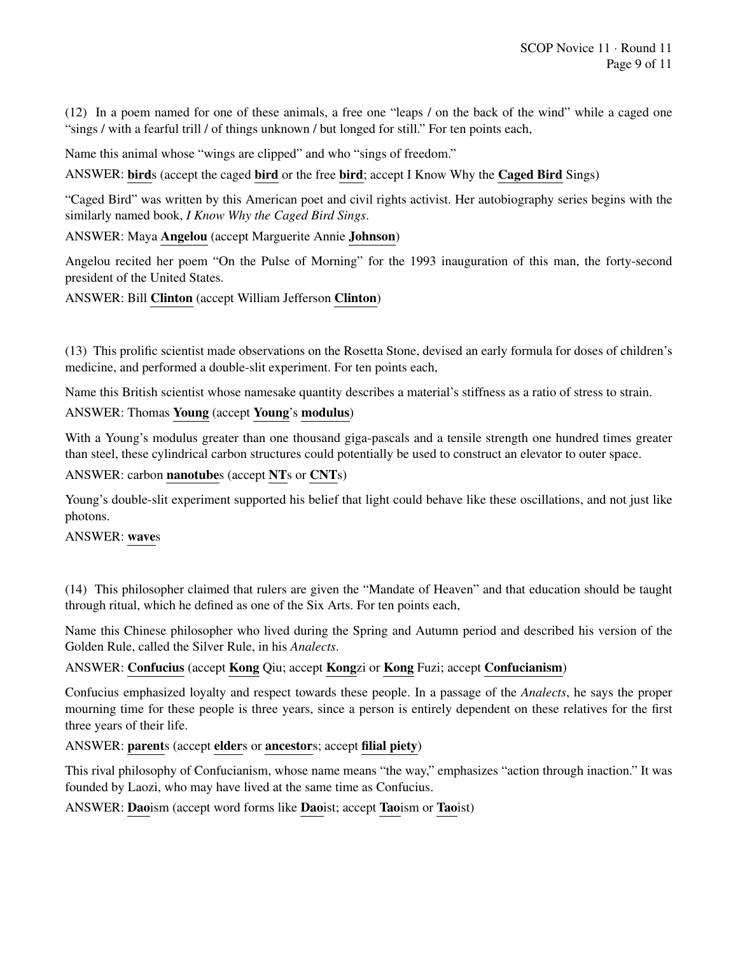(12) In a poem named for one of these animals, a free one "leaps / on the back of the wind" while a caged one "sings / with a fearful trill / of things unknown / but longed for still." For ten points each,

Name this animal whose "wings are clipped" and who "sings of freedom."

ANSWER: birds (accept the caged bird or the free bird; accept I Know Why the Caged Bird Sings)

"Caged Bird" was written by this American poet and civil rights activist. Her autobiography series begins with the similarly named book, *I Know Why the Caged Bird Sings*.

ANSWER: Maya Angelou (accept Marguerite Annie Johnson)

Angelou recited her poem "On the Pulse of Morning" for the 1993 inauguration of this man, the forty-second president of the United States.

ANSWER: Bill Clinton (accept William Jefferson Clinton)

(13) This prolific scientist made observations on the Rosetta Stone, devised an early formula for doses of children's medicine, and performed a double-slit experiment. For ten points each,

Name this British scientist whose namesake quantity describes a material's stiffness as a ratio of stress to strain.

# ANSWER: Thomas Young (accept Young's modulus)

With a Young's modulus greater than one thousand giga-pascals and a tensile strength one hundred times greater than steel, these cylindrical carbon structures could potentially be used to construct an elevator to outer space.

ANSWER: carbon nanotubes (accept NTs or CNTs)

Young's double-slit experiment supported his belief that light could behave like these oscillations, and not just like photons.

ANSWER: waves

(14) This philosopher claimed that rulers are given the "Mandate of Heaven" and that education should be taught through ritual, which he defined as one of the Six Arts. For ten points each,

Name this Chinese philosopher who lived during the Spring and Autumn period and described his version of the Golden Rule, called the Silver Rule, in his *Analects*.

ANSWER: Confucius (accept Kong Qiu; accept Kongzi or Kong Fuzi; accept Confucianism)

Confucius emphasized loyalty and respect towards these people. In a passage of the *Analects*, he says the proper mourning time for these people is three years, since a person is entirely dependent on these relatives for the first three years of their life.

ANSWER: parents (accept elders or ancestors; accept filial piety)

This rival philosophy of Confucianism, whose name means "the way," emphasizes "action through inaction." It was founded by Laozi, who may have lived at the same time as Confucius.

ANSWER: Daoism (accept word forms like Daoist; accept Taoism or Taoist)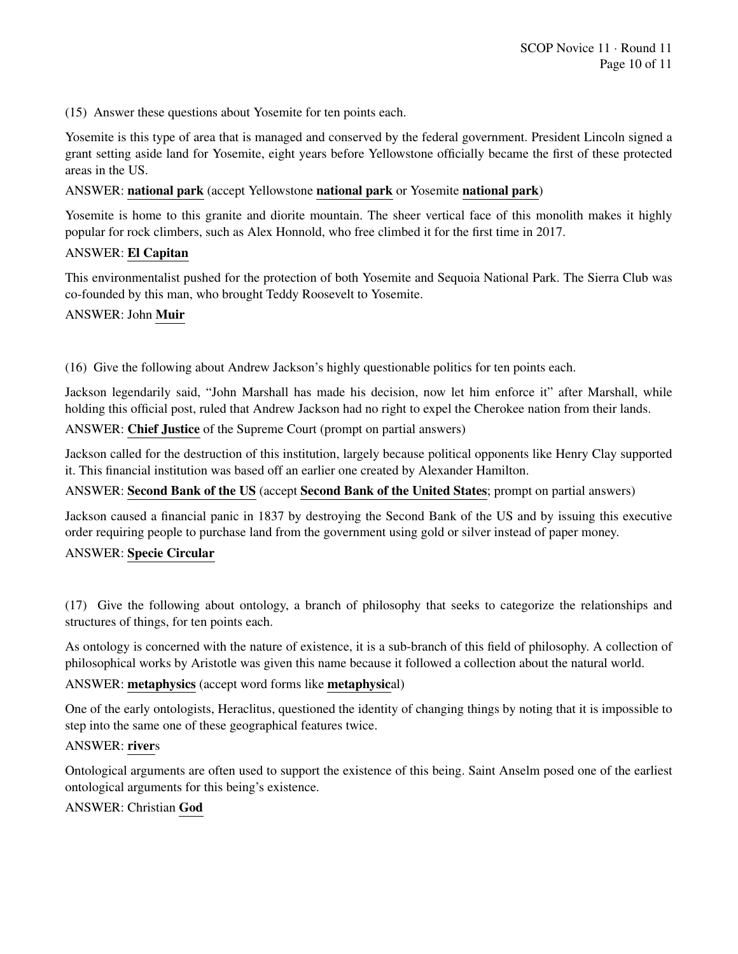(15) Answer these questions about Yosemite for ten points each.

Yosemite is this type of area that is managed and conserved by the federal government. President Lincoln signed a grant setting aside land for Yosemite, eight years before Yellowstone officially became the first of these protected areas in the US.

#### ANSWER: national park (accept Yellowstone national park or Yosemite national park)

Yosemite is home to this granite and diorite mountain. The sheer vertical face of this monolith makes it highly popular for rock climbers, such as Alex Honnold, who free climbed it for the first time in 2017.

# ANSWER: El Capitan

This environmentalist pushed for the protection of both Yosemite and Sequoia National Park. The Sierra Club was co-founded by this man, who brought Teddy Roosevelt to Yosemite.

#### ANSWER: John Muir

(16) Give the following about Andrew Jackson's highly questionable politics for ten points each.

Jackson legendarily said, "John Marshall has made his decision, now let him enforce it" after Marshall, while holding this official post, ruled that Andrew Jackson had no right to expel the Cherokee nation from their lands.

ANSWER: Chief Justice of the Supreme Court (prompt on partial answers)

Jackson called for the destruction of this institution, largely because political opponents like Henry Clay supported it. This financial institution was based off an earlier one created by Alexander Hamilton.

ANSWER: Second Bank of the US (accept Second Bank of the United States; prompt on partial answers)

Jackson caused a financial panic in 1837 by destroying the Second Bank of the US and by issuing this executive order requiring people to purchase land from the government using gold or silver instead of paper money.

#### ANSWER: Specie Circular

(17) Give the following about ontology, a branch of philosophy that seeks to categorize the relationships and structures of things, for ten points each.

As ontology is concerned with the nature of existence, it is a sub-branch of this field of philosophy. A collection of philosophical works by Aristotle was given this name because it followed a collection about the natural world.

#### ANSWER: metaphysics (accept word forms like metaphysical)

One of the early ontologists, Heraclitus, questioned the identity of changing things by noting that it is impossible to step into the same one of these geographical features twice.

#### ANSWER: rivers

Ontological arguments are often used to support the existence of this being. Saint Anselm posed one of the earliest ontological arguments for this being's existence.

# ANSWER: Christian God